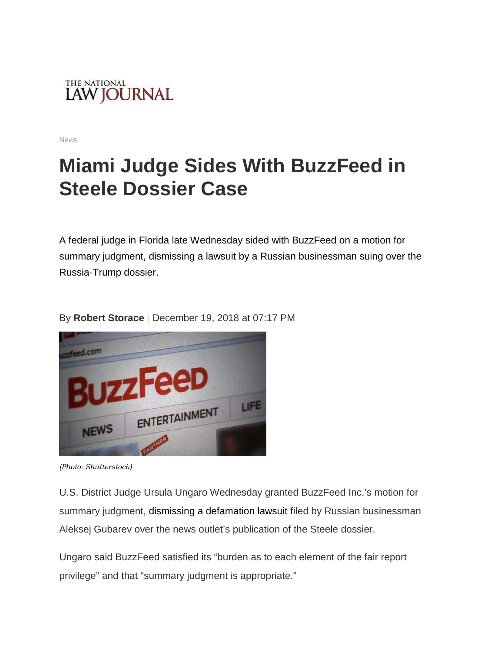

News

## **Miami Judge Sides With BuzzFeed in Steele Dossier Case**

A federal judge in Florida late Wednesday sided with BuzzFeed on a motion for summary judgment, dismissing a lawsuit by a Russian businessman suing over the Russia-Trump dossier.



By **[Robert Storace](https://www.law.com/author/profile/Robert-Storace/)** | December 19, 2018 at 07:17 PM

*(Photo: Shutterstock)*

U.S. District Judge Ursula Ungaro Wednesday granted BuzzFeed Inc.'s motion for summary judgment, dismissing a defamation lawsuit filed by Russian businessman Aleksej Gubarev over the news outlet's publication of the Steele dossier.

Ungaro said BuzzFeed satisfied its "burden as to each element of the fair report privilege" and that "summary judgment is appropriate."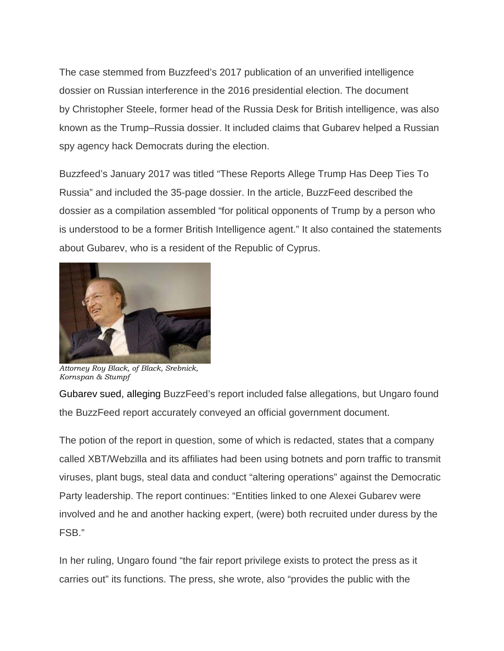The case stemmed from Buzzfeed's 2017 publication of an unverified intelligence dossier on Russian interference in the 2016 presidential election. The document by Christopher Steele, former head of the Russia Desk for British intelligence, was also known as the Trump–Russia dossier. It included claims that Gubarev helped a Russian spy agency hack Democrats during the election.

Buzzfeed's January 2017 was titled "These Reports Allege Trump Has Deep Ties To Russia" and included the 35-page dossier. In the article, BuzzFeed described the dossier as a compilation assembled "for political opponents of Trump by a person who is understood to be a former British Intelligence agent." It also contained the statements about Gubarev, who is a resident of the Republic of Cyprus.



*Attorney Roy Black, of Black, Srebnick, Kornspan & Stumpf*

Gubarev sued, alleging BuzzFeed's report included false allegations, but Ungaro found the BuzzFeed report accurately conveyed an official government document.

The potion of the report in question, some of which is redacted, states that a company called XBT/Webzilla and its affiliates had been using botnets and porn traffic to transmit viruses, plant bugs, steal data and conduct "altering operations" against the Democratic Party leadership. The report continues: "Entities linked to one Alexei Gubarev were involved and he and another hacking expert, (were) both recruited under duress by the FSB."

In her ruling, Ungaro found "the fair report privilege exists to protect the press as it carries out" its functions. The press, she wrote, also "provides the public with the